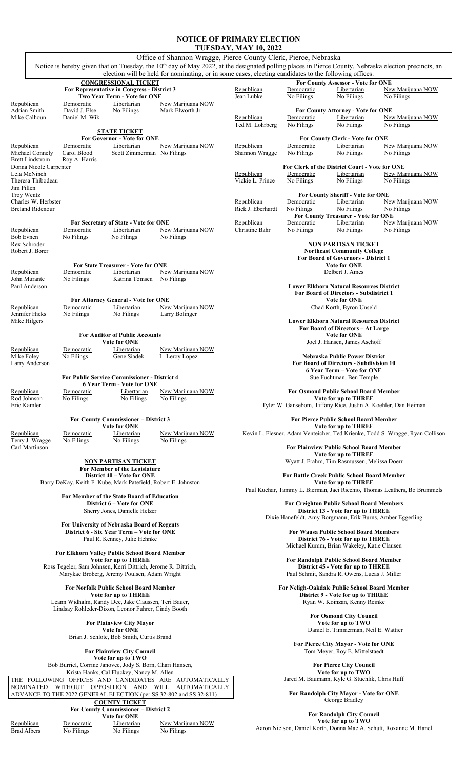## **NOTICE OF PRIMARY ELECTION**

|                                                |                                |                                                                            |                                                                                                                                                                  | <b>TUESDAY, MAY 10, 2022</b>                       |                          |                                                                                        |                                                                               |  |
|------------------------------------------------|--------------------------------|----------------------------------------------------------------------------|------------------------------------------------------------------------------------------------------------------------------------------------------------------|----------------------------------------------------|--------------------------|----------------------------------------------------------------------------------------|-------------------------------------------------------------------------------|--|
|                                                |                                |                                                                            | Office of Shannon Wragge, Pierce County Clerk, Pierce, Nebraska                                                                                                  |                                                    |                          |                                                                                        |                                                                               |  |
|                                                |                                |                                                                            | Notice is hereby given that on Tuesday, the 10 <sup>th</sup> day of May 2022, at the designated polling places in Pierce County, Nebraska election precincts, an |                                                    |                          |                                                                                        |                                                                               |  |
|                                                |                                |                                                                            | election will be held for nominating, or in some cases, electing candidates to the following offices:                                                            |                                                    |                          |                                                                                        |                                                                               |  |
|                                                |                                | <b>CONGRESSIONAL TICKET</b><br>For Representative in Congress - District 3 |                                                                                                                                                                  | Republican                                         | Democratic               | For County Assessor - Vote for ONE<br>Libertarian                                      | New Marijuana NOW                                                             |  |
|                                                |                                | Two Year Term - Vote for ONE                                               |                                                                                                                                                                  | Jean Lubke                                         | No Filings               | No Filings                                                                             | No Filings                                                                    |  |
| Republican                                     | Democratic                     | Libertarian                                                                | New Marijuana NOW                                                                                                                                                |                                                    |                          |                                                                                        |                                                                               |  |
| Adrian Smith<br>Mike Calhoun                   | David J. Else<br>Daniel M. Wik | No Filings                                                                 | Mark Elworth Jr.                                                                                                                                                 |                                                    | Democratic               | For County Attorney - Vote for ONE<br>Libertarian                                      |                                                                               |  |
|                                                |                                |                                                                            |                                                                                                                                                                  | Republican<br>Ted M. Lohrberg                      | No Filings               | No Filings                                                                             | New Marijuana NOW<br>No Filings                                               |  |
|                                                |                                | <b>STATE TICKET</b>                                                        |                                                                                                                                                                  |                                                    |                          |                                                                                        |                                                                               |  |
|                                                |                                | <b>For Governor - Vote for ONE</b>                                         |                                                                                                                                                                  |                                                    |                          | <b>For County Clerk - Vote for ONE</b>                                                 |                                                                               |  |
| Republican<br>Michael Connely                  | Democratic<br>Carol Blood      | Libertarian<br>Scott Zimmerman No Filings                                  | New Marijuana NOW                                                                                                                                                | Republican<br>Shannon Wragge                       | Democratic<br>No Filings | Libertarian<br>No Filings                                                              | New Marijuana NOW<br>No Filings                                               |  |
| <b>Brett Lindstrom</b>                         | Roy A. Harris                  |                                                                            |                                                                                                                                                                  |                                                    |                          |                                                                                        |                                                                               |  |
| Donna Nicole Carpenter                         |                                |                                                                            |                                                                                                                                                                  |                                                    |                          | For Clerk of the District Court - Vote for ONE                                         |                                                                               |  |
| Lela McNinch<br>Theresa Thibodeau              |                                |                                                                            |                                                                                                                                                                  | Republican<br>Vickie L. Prince                     | Democratic<br>No Filings | Libertarian<br>No Filings                                                              | New Marijuana NOW<br>No Filings                                               |  |
| Jim Pillen                                     |                                |                                                                            |                                                                                                                                                                  |                                                    |                          |                                                                                        |                                                                               |  |
| Troy Wentz                                     |                                |                                                                            |                                                                                                                                                                  |                                                    |                          | <b>For County Sheriff - Vote for ONE</b>                                               |                                                                               |  |
| Charles W. Herbster<br><b>Breland Ridenour</b> |                                |                                                                            |                                                                                                                                                                  | Republican<br>Rick J. Eberhardt                    | Democratic<br>No Filings | Libertarian<br>No Filings                                                              | New Marijuana NOW<br>No Filings                                               |  |
|                                                |                                |                                                                            |                                                                                                                                                                  |                                                    |                          | <b>For County Treasurer - Vote for ONE</b>                                             |                                                                               |  |
|                                                |                                | For Secretary of State - Vote for ONE                                      |                                                                                                                                                                  | Republican                                         | Democratic               | Libertarian                                                                            | New Marijuana NOW                                                             |  |
| Republican                                     | Democratic                     | Libertarian                                                                | New Marijuana NOW                                                                                                                                                | Christine Bahr                                     | No Filings               | No Filings                                                                             | No Filings                                                                    |  |
| <b>Bob Evnen</b><br>Rex Schroder               | No Filings                     | No Filings                                                                 | No Filings                                                                                                                                                       |                                                    |                          | <b>NON PARTISAN TICKET</b>                                                             |                                                                               |  |
| Robert J. Borer                                |                                |                                                                            |                                                                                                                                                                  |                                                    |                          | <b>Northeast Community College</b>                                                     |                                                                               |  |
|                                                |                                |                                                                            |                                                                                                                                                                  |                                                    |                          | <b>For Board of Governors - District 1</b>                                             |                                                                               |  |
|                                                |                                | <b>For State Treasurer - Vote for ONE</b>                                  |                                                                                                                                                                  |                                                    |                          | <b>Vote for ONE</b>                                                                    |                                                                               |  |
| Republican<br>John Murante                     | Democratic<br>No Filings       | Libertarian<br>Katrina Tomsen                                              | New Marijuana NOW<br>No Filings                                                                                                                                  |                                                    |                          | Delbert J. Ames                                                                        |                                                                               |  |
| Paul Anderson                                  |                                |                                                                            |                                                                                                                                                                  |                                                    |                          | <b>Lower Elkhorn Natural Resources District</b>                                        |                                                                               |  |
|                                                |                                |                                                                            |                                                                                                                                                                  |                                                    |                          | <b>For Board of Directors - Subdistrict 1</b>                                          |                                                                               |  |
| Republican                                     | Democratic                     | For Attorney General - Vote for ONE<br>Libertarian                         | New Marijuana NOW                                                                                                                                                |                                                    |                          | <b>Vote for ONE</b><br>Chad Korth, Byron Unseld                                        |                                                                               |  |
| Jennifer Hicks                                 | No Filings                     | No Filings                                                                 | Larry Bolinger                                                                                                                                                   |                                                    |                          |                                                                                        |                                                                               |  |
| Mike Hilgers                                   |                                |                                                                            |                                                                                                                                                                  |                                                    |                          | <b>Lower Elkhorn Natural Resources District</b>                                        |                                                                               |  |
|                                                |                                | <b>For Auditor of Public Accounts</b>                                      |                                                                                                                                                                  |                                                    |                          | For Board of Directors - At Large                                                      |                                                                               |  |
|                                                |                                | <b>Vote for ONE</b>                                                        |                                                                                                                                                                  |                                                    |                          | <b>Vote for ONE</b><br>Joel J. Hansen, James Aschoff                                   |                                                                               |  |
| Republican                                     | Democratic                     | Libertarian                                                                | New Marijuana NOW                                                                                                                                                |                                                    |                          |                                                                                        |                                                                               |  |
| Mike Foley                                     | No Filings                     | Gene Siadek                                                                | L. Leroy Lopez                                                                                                                                                   |                                                    |                          | Nebraska Public Power District                                                         |                                                                               |  |
| Larry Anderson                                 |                                |                                                                            |                                                                                                                                                                  |                                                    |                          | <b>For Board of Directors - Subdivision 10</b><br>6 Year Term – Vote for ONE           |                                                                               |  |
|                                                |                                | <b>For Public Service Commissioner - District 4</b>                        |                                                                                                                                                                  |                                                    |                          | Sue Fuchtman, Ben Temple                                                               |                                                                               |  |
|                                                |                                | 6 Year Term - Vote for ONE                                                 |                                                                                                                                                                  |                                                    |                          |                                                                                        |                                                                               |  |
| Republican<br>Rod Johnson                      | Democratic<br>No Filings       | Libertarian<br>No Filings                                                  | New Marijuana NOW<br>No Filings                                                                                                                                  |                                                    |                          | <b>For Osmond Public School Board Member</b>                                           |                                                                               |  |
| Eric Kamler                                    |                                |                                                                            |                                                                                                                                                                  |                                                    |                          | Vote for up to THREE<br>Tyler W. Gansebom, Tiffany Rice, Justin A. Koehler, Dan Heiman |                                                                               |  |
|                                                |                                |                                                                            |                                                                                                                                                                  |                                                    |                          |                                                                                        |                                                                               |  |
|                                                |                                | For County Commissioner - District 3                                       |                                                                                                                                                                  |                                                    |                          | <b>For Pierce Public School Board Member</b>                                           |                                                                               |  |
| Republican                                     | Democratic                     | <b>Vote for ONE</b><br>Libertarian                                         | New Marijuana NOW                                                                                                                                                |                                                    |                          | Vote for up to THREE                                                                   | Kevin L. Flesner, Adam Venteicher, Ted Krienke, Todd S. Wragge, Ryan Collison |  |
| Terry J. Wragge                                | No Filings                     | No Filings                                                                 | No Filings                                                                                                                                                       |                                                    |                          |                                                                                        |                                                                               |  |
| Carl Martinson                                 |                                |                                                                            |                                                                                                                                                                  |                                                    |                          | <b>For Plainview Public School Board Member</b>                                        |                                                                               |  |
|                                                |                                | <b>NON PARTISAN TICKET</b>                                                 |                                                                                                                                                                  |                                                    |                          | Vote for up to THREE                                                                   |                                                                               |  |
|                                                |                                | For Member of the Legislature                                              |                                                                                                                                                                  | Wyatt J. Frahm, Tim Rasmussen, Melissa Doerr       |                          |                                                                                        |                                                                               |  |
|                                                |                                | District 40 – Vote for ONE                                                 |                                                                                                                                                                  | <b>For Battle Creek Public School Board Member</b> |                          |                                                                                        |                                                                               |  |
|                                                |                                | Barry DeKay, Keith F. Kube, Mark Patefield, Robert E. Johnston             |                                                                                                                                                                  |                                                    |                          | Vote for up to THREE                                                                   |                                                                               |  |
|                                                |                                | For Member of the State Board of Education                                 |                                                                                                                                                                  |                                                    |                          |                                                                                        | Paul Kuchar, Tammy L. Bierman, Jaci Ricchio, Thomas Leathers, Bo Brummels     |  |
|                                                |                                | District 6 – Vote for ONE                                                  |                                                                                                                                                                  |                                                    |                          | <b>For Creighton Public School Board Members</b>                                       |                                                                               |  |
|                                                |                                | Sherry Jones, Danielle Helzer                                              |                                                                                                                                                                  |                                                    |                          | District 13 - Vote for up to THREE                                                     |                                                                               |  |
|                                                |                                | For University of Nebraska Board of Regents                                |                                                                                                                                                                  |                                                    |                          | Dixie Hanefeldt, Amy Borgmann, Erik Burns, Amber Eggerling                             |                                                                               |  |
|                                                |                                | District 6 - Six Year Term - Vote for ONE                                  |                                                                                                                                                                  |                                                    |                          | <b>For Wausa Public School Board Members</b>                                           |                                                                               |  |
|                                                |                                | Paul R. Kenney, Julie Hehnke                                               |                                                                                                                                                                  |                                                    |                          | District 76 - Vote for up to THREE                                                     |                                                                               |  |
|                                                |                                | For Elkhorn Valley Public School Board Member                              |                                                                                                                                                                  |                                                    |                          | Michael Kumm, Brian Wakeley, Katie Clausen                                             |                                                                               |  |
|                                                |                                | Vote for up to THREE                                                       |                                                                                                                                                                  |                                                    |                          | For Randolph Public School Board Member                                                |                                                                               |  |
|                                                |                                | Ross Tegeler, Sam Johnsen, Kerri Dittrich, Jerome R. Dittrich,             |                                                                                                                                                                  |                                                    |                          | District 45 - Vote for up to THREE                                                     |                                                                               |  |
|                                                |                                | Marykae Broberg, Jeremy Poulsen, Adam Wright                               |                                                                                                                                                                  |                                                    |                          | Paul Schmit, Sandra R. Owens, Lucas J. Miller                                          |                                                                               |  |
|                                                |                                | <b>For Norfolk Public School Board Member</b>                              |                                                                                                                                                                  |                                                    |                          | For Neligh-Oakdale Public School Board Member                                          |                                                                               |  |
|                                                |                                | Vote for up to THREE                                                       |                                                                                                                                                                  |                                                    |                          | District 9 - Vote for up to THREE                                                      |                                                                               |  |
|                                                |                                | Leann Widhalm, Randy Dee, Jake Claussen, Teri Bauer,                       |                                                                                                                                                                  |                                                    |                          | Ryan W. Koinzan, Kenny Reinke                                                          |                                                                               |  |
|                                                |                                | Lindsay Rohleder-Dixon, Leonor Fuhrer, Cindy Booth                         |                                                                                                                                                                  |                                                    |                          | <b>For Osmond City Council</b>                                                         |                                                                               |  |
|                                                |                                | <b>For Plainview City Mayor</b>                                            |                                                                                                                                                                  |                                                    |                          | Vote for up to TWO                                                                     |                                                                               |  |
|                                                |                                | Vote for ONE                                                               |                                                                                                                                                                  |                                                    |                          | Daniel E. Timmerman, Neil E. Wattier                                                   |                                                                               |  |
|                                                |                                | Brian J. Schlote, Bob Smith, Curtis Brand                                  |                                                                                                                                                                  |                                                    |                          |                                                                                        |                                                                               |  |
|                                                |                                | <b>For Plainview City Council</b>                                          |                                                                                                                                                                  |                                                    |                          | For Pierce City Mayor - Vote for ONE<br>Tom Meyer, Roy E. Mittelstaedt                 |                                                                               |  |
|                                                |                                | Vote for up to TWO                                                         |                                                                                                                                                                  |                                                    |                          |                                                                                        |                                                                               |  |
|                                                |                                | Bob Burriel, Corrine Janovec, Jody S. Born, Chari Hansen,                  |                                                                                                                                                                  |                                                    |                          | <b>For Pierce City Council</b>                                                         |                                                                               |  |
|                                                |                                | Krista Hanks, Cal Fluckey, Nancy M. Allen                                  | THE FOLLOWING OFFICES AND CANDIDATES ARE AUTOMATICALLY                                                                                                           |                                                    |                          | Vote for up to TWO<br>Jared M. Baumann, Kyle G. Stuchlik, Chris Huff                   |                                                                               |  |
| NOMINATED                                      |                                |                                                                            | WITHOUT OPPOSITION AND WILL AUTOMATICALLY                                                                                                                        |                                                    |                          |                                                                                        |                                                                               |  |
|                                                |                                |                                                                            | ADVANCE TO THE 2022 GENERAL ELECTION (per SS 32-802 and SS 32-811)                                                                                               |                                                    |                          | For Randolph City Mayor - Vote for ONE                                                 |                                                                               |  |
|                                                |                                | <b>COUNTY TICKET</b>                                                       |                                                                                                                                                                  |                                                    |                          | George Bradley                                                                         |                                                                               |  |
|                                                |                                | <b>For County Commissioner - District 2</b>                                |                                                                                                                                                                  |                                                    |                          |                                                                                        |                                                                               |  |

**For Randolph City Council Vote for up to TWO**  Aaron Nielson, Daniel Korth, Donna Mae A. Schutt, Roxanne M. Hanel

**Republican**<br>Brad Albers **1989**<br>No Filings **1989**<br>No Filings **New Marijuana NOW**<br>No Filings **1989** Brad Albers No Filings No Filings No Filings

**Vote for ONE**